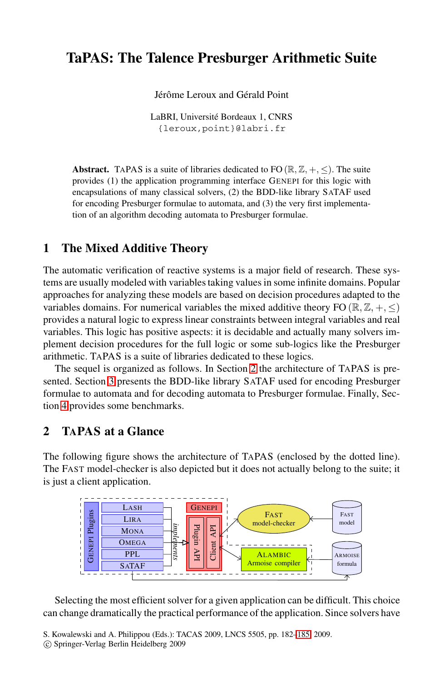# **TaPAS: The Talence Presburger Arithmetic Suite**

Jérôme Leroux and Gérald Point

LaBRI, Université Bordeaux 1, CNRS {leroux,point}@labri.fr

**Abstract.** TAPAS is a suite of libraries dedicated to FO ( $\mathbb{R}, \mathbb{Z}, +, \leq$ ). The suite provides (1) the application programming interface GENEPI for this logic with encapsulations of many classical solvers, (2) the BDD-like library SATAF used for encoding Presburger formulae to automata, and (3) the very first implementation of an algorithm decoding automata to Presburger formulae.

## **1 The Mixed Additive Theory**

The automatic verification of reactive systems is a major field of research. These systems are usually modeled with variables taking values in some infinite domains. Popular approaches for analyzing these models are based on decision procedures adapted to the variables domains. For numerical variables the mixed additive theory FO ( $\mathbb{R}, \mathbb{Z}, +, \leq$ ) provides a natural logic to express linear constraints between integral variables and real variables. This logic has positive aspects: it is decidable and actually many solvers implement decision procedures for the full logic or some sub-logics like the Presburger arithmetic. TAPAS is a suite of libraries dedicated to these logics.

The sequel is organized as follows. In Section [2](#page-0-0) the architecture of TAPAS is presented. Section [3](#page-1-0) presents the BDD-like library SATAF used for encoding Presburger formulae to automata and for decoding automata to Presburger formulae. Finally, Section [4](#page-2-0) provides some benchmarks.

# <span id="page-0-0"></span>**2 TAPAS at a Glance**

The following figure shows the architecture of TAPAS (enclosed by the dotted line). The FAST model-checker is also depicted but it does not actually belong to the suite; it is just a client application.



Selecting the most efficient solver for a given application can be difficult. This choice can change dramatically the practical performance of the application. Since solvers have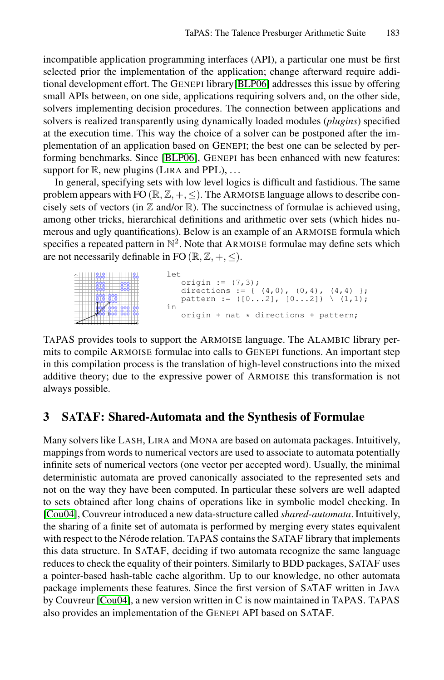incompatible application programming interfaces (API), a particular one must be first selected prior the implementation of the application; change afterward require additional development effort. The GENEPI library[\[BLP06\]](#page-3-1) addresses this issue by offering small APIs between, on one side, applications requiring solvers and, on the other side, solvers implementing decision procedures. The connection between applications and solvers is realized transparently using dynamically loaded modules (*plugins*) specified at the execution time. This way the choice of a solver can be postponed after the implementation of an application based on GENEPI; the best one can be selected by performing benchmarks. Since [\[BLP06\]](#page-3-1), GENEPI has been enhanced with new features: support for  $\mathbb{R}$ , new plugins (LIRA and PPL), ...

In general, specifying sets with low level logics is difficult and fastidious. The same problem appears with FO  $(\mathbb{R}, \mathbb{Z}, +, \leq)$ . The ARMOISE language allows to describe concisely sets of vectors (in  $\mathbb Z$  and/or  $\mathbb R$ ). The succinctness of formulae is achieved using, among other tricks, hierarchical definitions and arithmetic over sets (which hides numerous and ugly quantifications). Below is an example of an ARMOISE formula which specifies a repeated pattern in  $\mathbb{N}^2$ . Note that ARMOISE formulae may define sets which are not necessarily definable in FO  $(\mathbb{R}, \mathbb{Z}, +, \le)$ .



TAPAS provides tools to support the ARMOISE language. The ALAMBIC library permits to compile ARMOISE formulae into calls to GENEPI functions. An important step in this compilation process is the translation of high-level constructions into the mixed additive theory; due to the expressive power of ARMOISE this transformation is not always possible.

## <span id="page-1-0"></span>**3 SATAF: Shared-Automata and the Synthesis of Formulae**

Many solvers like LASH, LIRA and MONA are based on automata packages. Intuitively, mappings from words to numerical vectors are used to associate to automata potentially infinite sets of numerical vectors (one vector per accepted word). Usually, the minimal deterministic automata are proved canonically associated to the represented sets and not on the way they have been computed. In particular these solvers are well adapted to sets obtained after long chains of operations like in symbolic model checking. In [\[Cou04\]](#page-3-2), Couvreur introduced a new data-structure called *shared-automata*. Intuitively, the sharing of a finite set of automata is performed by merging every states equivalent with respect to the Nérode relation. TAPAS contains the SATAF library that implements this data structure. In SATAF, deciding if two automata recognize the same language reduces to check the equality of their pointers. Similarly to BDD packages, SATAF uses a pointer-based hash-table cache algorithm. Up to our knowledge, no other automata package implements these features. Since the first version of SATAF written in JAVA by Couvreur [\[Cou04\]](#page-3-2), a new version written in C is now maintained in TAPAS. TAPAS also provides an implementation of the GENEPI API based on SATAF.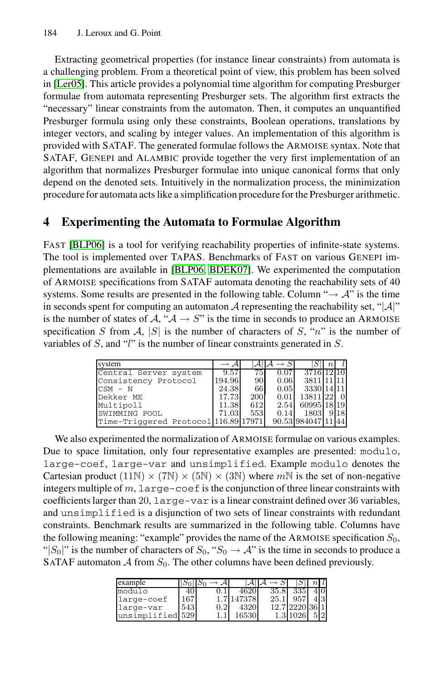Extracting geometrical properties (for instance linear constraints) from automata is a challenging problem. From a theoretical point of view, this problem has been solved in [\[Ler05\]](#page-3-3). This article provides a polynomial time algorithm for computing Presburger formulae from automata representing Presburger sets. The algorithm first extracts the "necessary" linear constraints from the automaton. Then, it computes an unquantified Presburger formula using only these constraints, Boolean operations, translations by integer vectors, and scaling by integer values. An implementation of this algorithm is provided with SATAF. The generated formulae follows the ARMOISE syntax. Note that SATAF, GENEPI and ALAMBIC provide together the very first implementation of an algorithm that normalizes Presburger formulae into unique canonical forms that only depend on the denoted sets. Intuitively in the normalization process, the minimization procedure for automata acts like a simplification procedure for the Presburger arithmetic.

# <span id="page-2-0"></span>**4 Experimenting the Automata to Formulae Algorithm**

FAST [\[BLP06\]](#page-3-1) is a tool for verifying reachability properties of infinite-state systems. The tool is implemented over TAPAS. Benchmarks of FAST on various GENEPI implementations are available in [\[BLP06,](#page-3-1) [BDEK07\]](#page-3-4). We experimented the computation of ARMOISE specifications from SATAF automata denoting the reachability sets of 40 systems. Some results are presented in the following table. Column " $\rightarrow$  A" is the time in seconds spent for computing an automaton  $A$  representing the reachability set, " $|A|$ " is the number of states of  $A$ , " $A \rightarrow S$ " is the time in seconds to produce an ARMOISE specification *S* from  $\mathcal{A}$ , |*S*| is the number of characters of *S*, "*n*" is the number of variables of *S*, and "*l*" is the number of linear constraints generated in *S*.

| system                               |        |     |      |                 | $\, n$ |  |
|--------------------------------------|--------|-----|------|-----------------|--------|--|
| Central Server system                | 9.57   | 75  | 0.07 | 3716 12 10      |        |  |
| Consistency Protocol                 | 194.96 | 90  | 0.06 | 3811 11 11      |        |  |
| $CSM - N$                            | 24.38  | 66  | 0.05 | 3330 14 11      |        |  |
| Dekker ME                            | 17.73  | 200 | 0.01 | 13811 22        |        |  |
| Multipoll                            | 11.38  | 612 | 2.54 | 60995 18 19     |        |  |
| SWIMMING POOL                        | 71.03  | 553 | 0.14 | 1803            |        |  |
| Time-Triggered Protocol 116.89 17971 |        |     |      | 90.53 984047 11 |        |  |

We also experimented the normalization of ARMOISE formulae on various examples. Due to space limitation, only four representative examples are presented: modulo, large-coef, large-var and unsimplified. Example modulo denotes the Cartesian product  $(11\mathbb{N}) \times (7\mathbb{N}) \times (5\mathbb{N}) \times (3\mathbb{N})$  where  $m\mathbb{N}$  is the set of non-negative integers multiple of *m*, large-coef is the conjunction of three linear constraints with coefficients larger than 20, large-var is a linear constraint defined over 36 variables, and unsimplified is a disjunction of two sets of linear constraints with redundant constraints. Benchmark results are summarized in the following table. Columns have the following meaning: "example" provides the name of the ARMOISE specification  $S_0$ , " $|S_0|$ " is the number of characters of  $S_0$ , " $S_0 \rightarrow A$ " is the time in seconds to produce a SATAF automaton  $A$  from  $S_0$ . The other columns have been defined previously.

| example          |     |       |      |      |  |
|------------------|-----|-------|------|------|--|
| modulo           |     |       | 35.8 |      |  |
| large-coef       | .67 | 47378 | 25.  | 957  |  |
| large-var        | 543 | 4320  |      | 2220 |  |
| unsimplified 529 |     | 16530 |      |      |  |